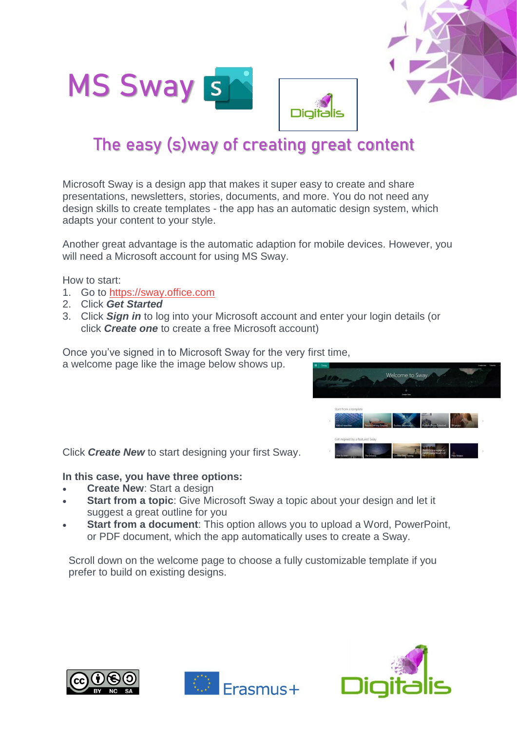



# The easy (s)way of creating great content

Microsoft Sway is a design app that makes it super easy to create and share presentations, newsletters, stories, documents, and more. You do not need any design skills to create templates - the app has an automatic design system, which adapts your content to your style.

Another great advantage is the automatic adaption for mobile devices. However, you will need a Microsoft account for using MS Sway.

How to start:

- 1. Go to [https://sway.office.com](https://sway.office.com/)
- 2. Click *Get Started*
- 3. Click *Sign in* to log into your Microsoft account and enter your login details (or click *Create one* to create a free Microsoft account)

Once you've signed in to Microsoft Sway for the very first time, a welcome page like the image below shows up.



Click *Create New* to start designing your first Sway.

#### **In this case, you have three options:**

- **Create New**: Start a design
- **Start from a topic:** Give Microsoft Sway a topic about your design and let it suggest a great outline for you
- **Start from a document**: This option allows you to upload a Word, PowerPoint, or PDF document, which the app automatically uses to create a Sway.

Scroll down on the welcome page to choose a fully customizable template if you prefer to build on existing designs.





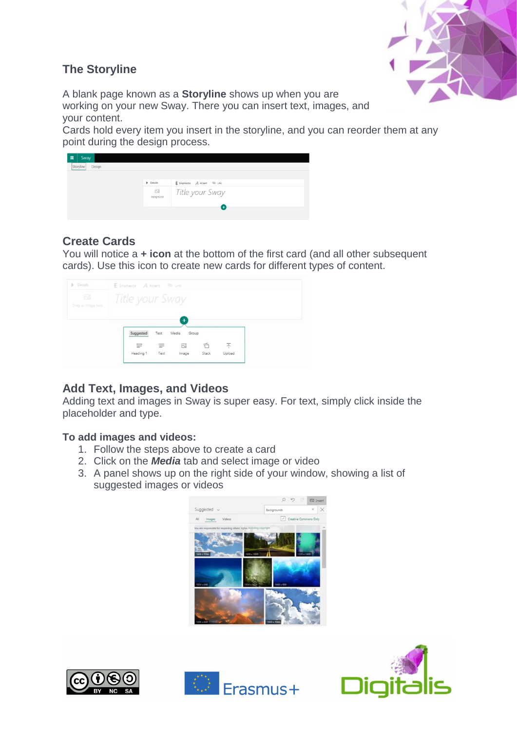

## **The Storyline**

A blank page known as a **Storyline** shows up when you are working on your new Sway. There you can insert text, images, and your content.

Cards hold every item you insert in the storyline, and you can reorder them at any point during the design process.

| Sway<br>Design<br>Storyline |                                        |                                         |
|-----------------------------|----------------------------------------|-----------------------------------------|
|                             | $\blacktriangleright$ Details          | E Emphasize A Accent <sup>QD</sup> Link |
|                             | $\sum_{i=1}^{n}$<br>Background         | Title your Sway                         |
|                             | and and<br>the state of the control of | ÷                                       |

## **Create Cards**

You will notice a **+ icon** at the bottom of the first card (and all other subsequent cards). Use this icon to create new cards for different types of content.

| <b>b</b> Details                            | E Emphasize A Accent <sup>Co</sup> Unit |          |                               |       |        |  |  |  |
|---------------------------------------------|-----------------------------------------|----------|-------------------------------|-------|--------|--|--|--|
| $\overline{\text{N}}$<br>Drag an image here | Title your Sway                         |          |                               |       |        |  |  |  |
|                                             | Suggested                               | Text     | $\ddotmark$<br>Media<br>Group |       |        |  |  |  |
|                                             | $\equiv$                                | $\equiv$ | 萬                             | A     | 不      |  |  |  |
|                                             | Heading 1                               | Text     | Image                         | Stack | baolol |  |  |  |

## **Add Text, Images, and Videos**

Adding text and images in Sway is super easy. For text, simply click inside the placeholder and type.

### **To add images and videos:**

- 1. Follow the steps above to create a card
- 2. Click on the *Media* tab and select image or video
- 3. A panel shows up on the right side of your window, showing a list of suggested images or videos